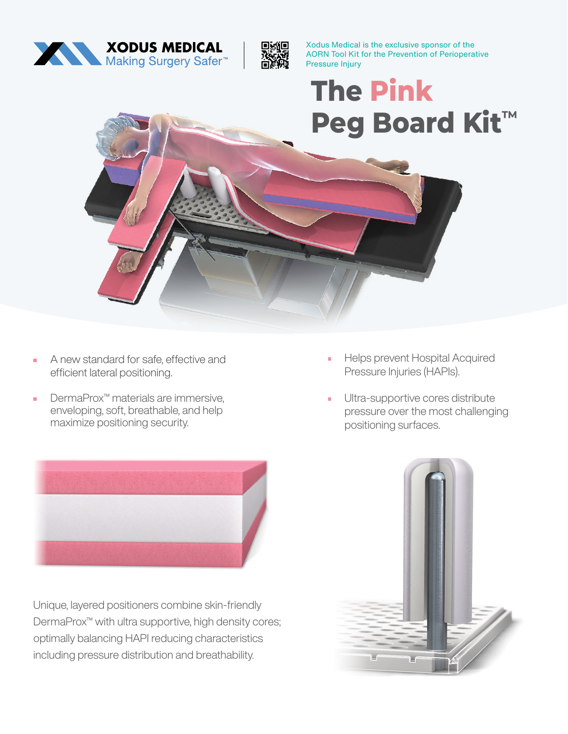



Xodus Medical is the exclusive sponsor of the AORN Tool Kit for the Prevention of Perioperative Pressure Injury

**The Pink Peg Board Kit™**

- A new standard for safe, effective and efficient lateral positioning.
- DermaProx™ materials are immersive, enveloping, soft, breathable, and help maximize positioning security.



Unique, layered positioners combine skin-friendly DermaProx™ with ultra supportive, high density cores; optimally balancing HAPI reducing characteristics including pressure distribution and breathability.

- Helps prevent Hospital Acquired Pressure Injuries (HAPIs).
- **•** Ultra-supportive cores distribute pressure over the most challenging positioning surfaces.